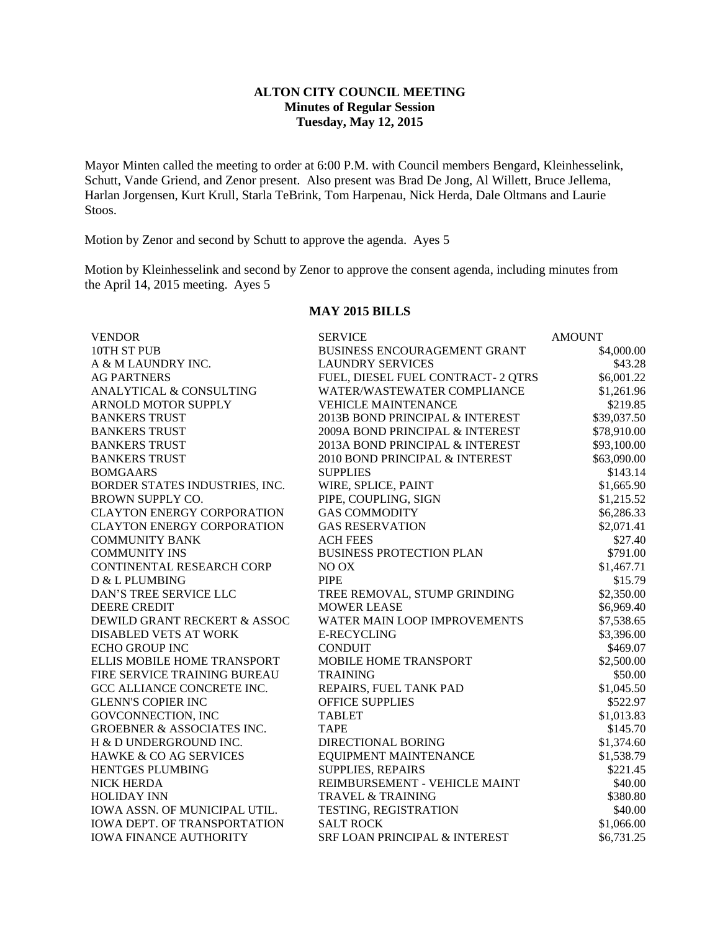## **ALTON CITY COUNCIL MEETING Minutes of Regular Session Tuesday, May 12, 2015**

Mayor Minten called the meeting to order at 6:00 P.M. with Council members Bengard, Kleinhesselink, Schutt, Vande Griend, and Zenor present. Also present was Brad De Jong, Al Willett, Bruce Jellema, Harlan Jorgensen, Kurt Krull, Starla TeBrink, Tom Harpenau, Nick Herda, Dale Oltmans and Laurie Stoos.

Motion by Zenor and second by Schutt to approve the agenda. Ayes 5

Motion by Kleinhesselink and second by Zenor to approve the consent agenda, including minutes from the April 14, 2015 meeting. Ayes 5

## **MAY 2015 BILLS**

| <b>VENDOR</b>                         | <b>SERVICE</b>                      | <b>AMOUNT</b> |
|---------------------------------------|-------------------------------------|---------------|
| 10TH ST PUB                           | <b>BUSINESS ENCOURAGEMENT GRANT</b> | \$4,000.00    |
| A & M LAUNDRY INC.                    | <b>LAUNDRY SERVICES</b>             | \$43.28       |
| <b>AG PARTNERS</b>                    | FUEL, DIESEL FUEL CONTRACT-2 QTRS   | \$6,001.22    |
| ANALYTICAL & CONSULTING               | WATER/WASTEWATER COMPLIANCE         | \$1,261.96    |
| <b>ARNOLD MOTOR SUPPLY</b>            | <b>VEHICLE MAINTENANCE</b>          | \$219.85      |
| <b>BANKERS TRUST</b>                  | 2013B BOND PRINCIPAL & INTEREST     | \$39,037.50   |
| <b>BANKERS TRUST</b>                  | 2009A BOND PRINCIPAL & INTEREST     | \$78,910.00   |
| <b>BANKERS TRUST</b>                  | 2013A BOND PRINCIPAL & INTEREST     | \$93,100.00   |
| <b>BANKERS TRUST</b>                  | 2010 BOND PRINCIPAL & INTEREST      | \$63,090.00   |
| <b>BOMGAARS</b>                       | <b>SUPPLIES</b>                     | \$143.14      |
| BORDER STATES INDUSTRIES, INC.        | WIRE, SPLICE, PAINT                 | \$1,665.90    |
| <b>BROWN SUPPLY CO.</b>               | PIPE, COUPLING, SIGN                | \$1,215.52    |
| <b>CLAYTON ENERGY CORPORATION</b>     | <b>GAS COMMODITY</b>                | \$6,286.33    |
| <b>CLAYTON ENERGY CORPORATION</b>     | <b>GAS RESERVATION</b>              | \$2,071.41    |
| <b>COMMUNITY BANK</b>                 | <b>ACH FEES</b>                     | \$27.40       |
| <b>COMMUNITY INS</b>                  | <b>BUSINESS PROTECTION PLAN</b>     | \$791.00      |
| CONTINENTAL RESEARCH CORP             | NO OX                               | \$1,467.71    |
| D & L PLUMBING                        | <b>PIPE</b>                         | \$15.79       |
| DAN'S TREE SERVICE LLC                | TREE REMOVAL, STUMP GRINDING        | \$2,350.00    |
| <b>DEERE CREDIT</b>                   | <b>MOWER LEASE</b>                  | \$6,969.40    |
| DEWILD GRANT RECKERT & ASSOC          | <b>WATER MAIN LOOP IMPROVEMENTS</b> | \$7,538.65    |
| DISABLED VETS AT WORK                 | <b>E-RECYCLING</b>                  | \$3,396.00    |
| <b>ECHO GROUP INC</b>                 | <b>CONDUIT</b>                      | \$469.07      |
| <b>ELLIS MOBILE HOME TRANSPORT</b>    | <b>MOBILE HOME TRANSPORT</b>        | \$2,500.00    |
| FIRE SERVICE TRAINING BUREAU          | <b>TRAINING</b>                     | \$50.00       |
| GCC ALLIANCE CONCRETE INC.            | REPAIRS, FUEL TANK PAD              | \$1,045.50    |
| <b>GLENN'S COPIER INC</b>             | <b>OFFICE SUPPLIES</b>              | \$522.97      |
| GOVCONNECTION, INC                    | <b>TABLET</b>                       | \$1,013.83    |
| <b>GROEBNER &amp; ASSOCIATES INC.</b> | <b>TAPE</b>                         | \$145.70      |
| H & D UNDERGROUND INC.                | DIRECTIONAL BORING                  | \$1,374.60    |
| HAWKE & CO AG SERVICES                | <b>EQUIPMENT MAINTENANCE</b>        | \$1,538.79    |
| HENTGES PLUMBING                      | SUPPLIES, REPAIRS                   | \$221.45      |
| <b>NICK HERDA</b>                     | REIMBURSEMENT - VEHICLE MAINT       | \$40.00       |
| <b>HOLIDAY INN</b>                    | <b>TRAVEL &amp; TRAINING</b>        | \$380.80      |
| IOWA ASSN. OF MUNICIPAL UTIL.         | TESTING, REGISTRATION               | \$40.00       |
| IOWA DEPT. OF TRANSPORTATION          | <b>SALT ROCK</b>                    | \$1,066.00    |
| <b>IOWA FINANCE AUTHORITY</b>         | SRF LOAN PRINCIPAL & INTEREST       | \$6,731.25    |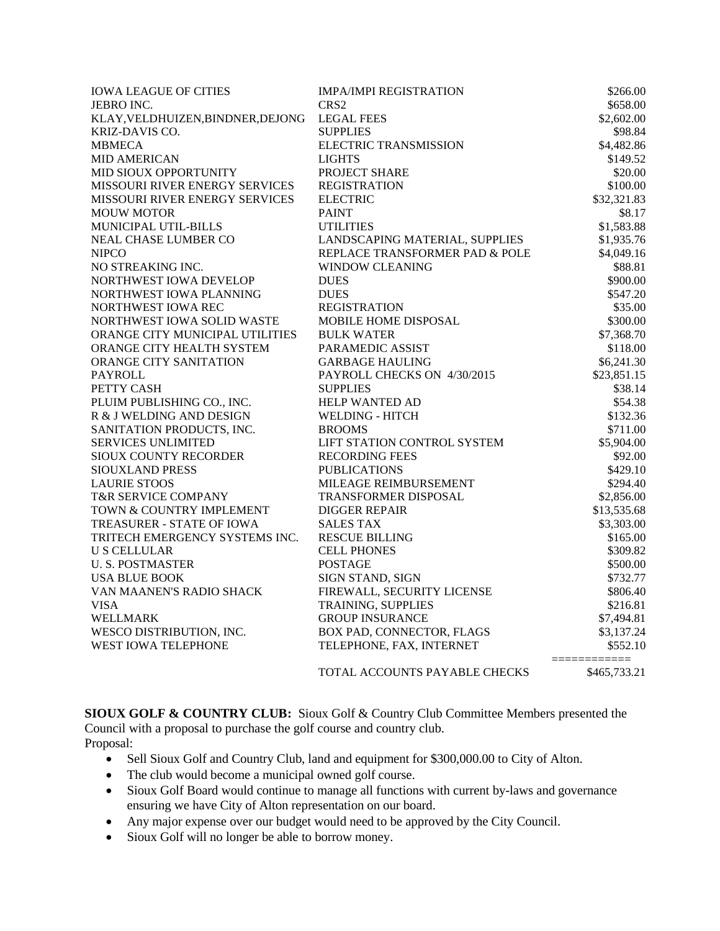| <b>IOWA LEAGUE OF CITIES</b>      | <b>IMPA/IMPI REGISTRATION</b>  | \$266.00     |
|-----------------------------------|--------------------------------|--------------|
| <b>JEBRO INC.</b>                 | CRS <sub>2</sub>               | \$658.00     |
| KLAY, VELDHUIZEN, BINDNER, DEJONG | <b>LEGAL FEES</b>              | \$2,602.00   |
| KRIZ-DAVIS CO.                    | <b>SUPPLIES</b>                | \$98.84      |
| <b>MBMECA</b>                     | <b>ELECTRIC TRANSMISSION</b>   | \$4,482.86   |
| <b>MID AMERICAN</b>               | <b>LIGHTS</b>                  | \$149.52     |
| MID SIOUX OPPORTUNITY             | PROJECT SHARE                  | \$20.00      |
| MISSOURI RIVER ENERGY SERVICES    | <b>REGISTRATION</b>            | \$100.00     |
| MISSOURI RIVER ENERGY SERVICES    | <b>ELECTRIC</b>                | \$32,321.83  |
| <b>MOUW MOTOR</b>                 | <b>PAINT</b>                   | \$8.17       |
| MUNICIPAL UTIL-BILLS              | <b>UTILITIES</b>               | \$1,583.88   |
| NEAL CHASE LUMBER CO              | LANDSCAPING MATERIAL, SUPPLIES | \$1,935.76   |
| <b>NIPCO</b>                      | REPLACE TRANSFORMER PAD & POLE | \$4,049.16   |
| NO STREAKING INC.                 | <b>WINDOW CLEANING</b>         | \$88.81      |
| NORTHWEST IOWA DEVELOP            | <b>DUES</b>                    | \$900.00     |
| NORTHWEST IOWA PLANNING           | <b>DUES</b>                    | \$547.20     |
| NORTHWEST IOWA REC                | <b>REGISTRATION</b>            | \$35.00      |
| NORTHWEST IOWA SOLID WASTE        | MOBILE HOME DISPOSAL           | \$300.00     |
| ORANGE CITY MUNICIPAL UTILITIES   | <b>BULK WATER</b>              | \$7,368.70   |
| ORANGE CITY HEALTH SYSTEM         | PARAMEDIC ASSIST               | \$118.00     |
| ORANGE CITY SANITATION            | <b>GARBAGE HAULING</b>         | \$6,241.30   |
| <b>PAYROLL</b>                    | PAYROLL CHECKS ON 4/30/2015    | \$23,851.15  |
| PETTY CASH                        | <b>SUPPLIES</b>                | \$38.14      |
| PLUIM PUBLISHING CO., INC.        | <b>HELP WANTED AD</b>          | \$54.38      |
| R & J WELDING AND DESIGN          | WELDING - HITCH                | \$132.36     |
| SANITATION PRODUCTS, INC.         | <b>BROOMS</b>                  | \$711.00     |
| <b>SERVICES UNLIMITED</b>         | LIFT STATION CONTROL SYSTEM    | \$5,904.00   |
| SIOUX COUNTY RECORDER             | <b>RECORDING FEES</b>          | \$92.00      |
| <b>SIOUXLAND PRESS</b>            | <b>PUBLICATIONS</b>            | \$429.10     |
| <b>LAURIE STOOS</b>               | MILEAGE REIMBURSEMENT          | \$294.40     |
| <b>T&amp;R SERVICE COMPANY</b>    | <b>TRANSFORMER DISPOSAL</b>    | \$2,856.00   |
| TOWN & COUNTRY IMPLEMENT          | <b>DIGGER REPAIR</b>           | \$13,535.68  |
| TREASURER - STATE OF IOWA         | <b>SALES TAX</b>               | \$3,303.00   |
| TRITECH EMERGENCY SYSTEMS INC.    | <b>RESCUE BILLING</b>          | \$165.00     |
| <b>U S CELLULAR</b>               | <b>CELL PHONES</b>             | \$309.82     |
| <b>U. S. POSTMASTER</b>           | <b>POSTAGE</b>                 | \$500.00     |
| <b>USA BLUE BOOK</b>              | SIGN STAND, SIGN               | \$732.77     |
| VAN MAANEN'S RADIO SHACK          | FIREWALL, SECURITY LICENSE     | \$806.40     |
| <b>VISA</b>                       | TRAINING, SUPPLIES             | \$216.81     |
| <b>WELLMARK</b>                   | <b>GROUP INSURANCE</b>         | \$7,494.81   |
| WESCO DISTRIBUTION, INC.          | BOX PAD, CONNECTOR, FLAGS      | \$3,137.24   |
| WEST IOWA TELEPHONE               | TELEPHONE, FAX, INTERNET       | \$552.10     |
|                                   | TOTAL ACCOUNTS PAYABLE CHECKS  | \$465,733.21 |

**SIOUX GOLF & COUNTRY CLUB:** Sioux Golf & Country Club Committee Members presented the Council with a proposal to purchase the golf course and country club. Proposal:

- Sell Sioux Golf and Country Club, land and equipment for \$300,000.00 to City of Alton.
- The club would become a municipal owned golf course.
- Sioux Golf Board would continue to manage all functions with current by-laws and governance ensuring we have City of Alton representation on our board.
- Any major expense over our budget would need to be approved by the City Council.
- Sioux Golf will no longer be able to borrow money.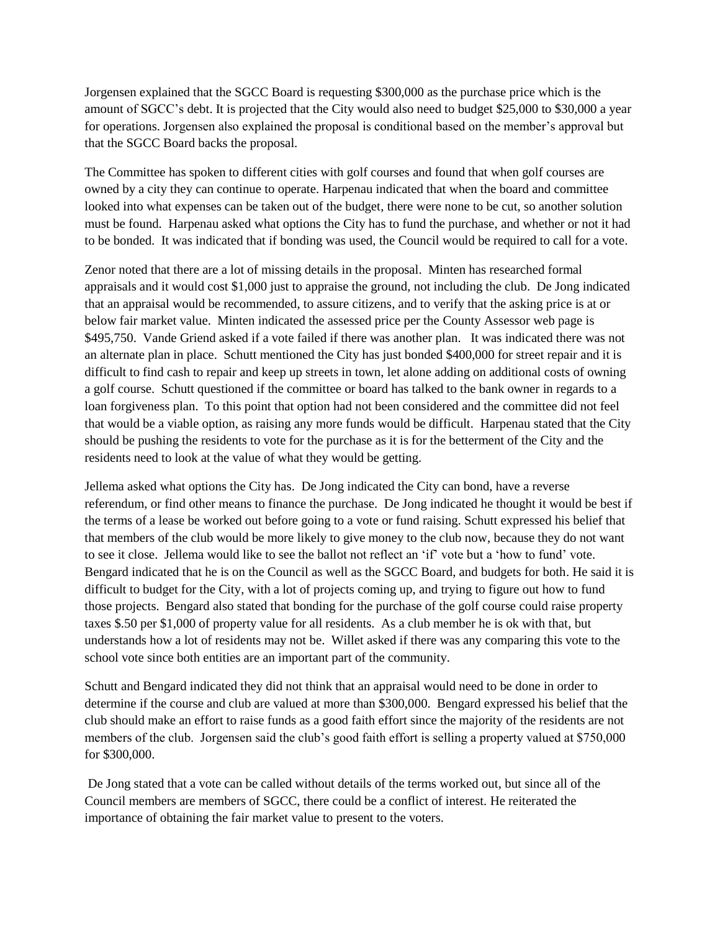Jorgensen explained that the SGCC Board is requesting \$300,000 as the purchase price which is the amount of SGCC's debt. It is projected that the City would also need to budget \$25,000 to \$30,000 a year for operations. Jorgensen also explained the proposal is conditional based on the member's approval but that the SGCC Board backs the proposal.

The Committee has spoken to different cities with golf courses and found that when golf courses are owned by a city they can continue to operate. Harpenau indicated that when the board and committee looked into what expenses can be taken out of the budget, there were none to be cut, so another solution must be found. Harpenau asked what options the City has to fund the purchase, and whether or not it had to be bonded. It was indicated that if bonding was used, the Council would be required to call for a vote.

Zenor noted that there are a lot of missing details in the proposal. Minten has researched formal appraisals and it would cost \$1,000 just to appraise the ground, not including the club. De Jong indicated that an appraisal would be recommended, to assure citizens, and to verify that the asking price is at or below fair market value. Minten indicated the assessed price per the County Assessor web page is \$495,750. Vande Griend asked if a vote failed if there was another plan. It was indicated there was not an alternate plan in place. Schutt mentioned the City has just bonded \$400,000 for street repair and it is difficult to find cash to repair and keep up streets in town, let alone adding on additional costs of owning a golf course. Schutt questioned if the committee or board has talked to the bank owner in regards to a loan forgiveness plan. To this point that option had not been considered and the committee did not feel that would be a viable option, as raising any more funds would be difficult. Harpenau stated that the City should be pushing the residents to vote for the purchase as it is for the betterment of the City and the residents need to look at the value of what they would be getting.

Jellema asked what options the City has. De Jong indicated the City can bond, have a reverse referendum, or find other means to finance the purchase. De Jong indicated he thought it would be best if the terms of a lease be worked out before going to a vote or fund raising. Schutt expressed his belief that that members of the club would be more likely to give money to the club now, because they do not want to see it close. Jellema would like to see the ballot not reflect an 'if' vote but a 'how to fund' vote. Bengard indicated that he is on the Council as well as the SGCC Board, and budgets for both. He said it is difficult to budget for the City, with a lot of projects coming up, and trying to figure out how to fund those projects. Bengard also stated that bonding for the purchase of the golf course could raise property taxes \$.50 per \$1,000 of property value for all residents. As a club member he is ok with that, but understands how a lot of residents may not be. Willet asked if there was any comparing this vote to the school vote since both entities are an important part of the community.

Schutt and Bengard indicated they did not think that an appraisal would need to be done in order to determine if the course and club are valued at more than \$300,000. Bengard expressed his belief that the club should make an effort to raise funds as a good faith effort since the majority of the residents are not members of the club. Jorgensen said the club's good faith effort is selling a property valued at \$750,000 for \$300,000.

De Jong stated that a vote can be called without details of the terms worked out, but since all of the Council members are members of SGCC, there could be a conflict of interest. He reiterated the importance of obtaining the fair market value to present to the voters.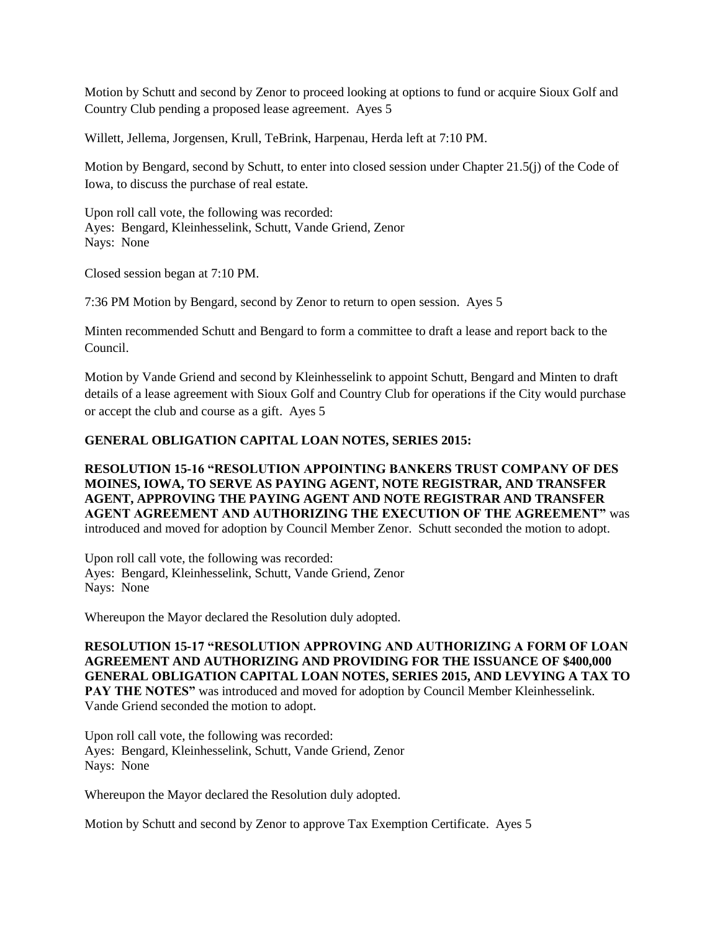Motion by Schutt and second by Zenor to proceed looking at options to fund or acquire Sioux Golf and Country Club pending a proposed lease agreement. Ayes 5

Willett, Jellema, Jorgensen, Krull, TeBrink, Harpenau, Herda left at 7:10 PM.

Motion by Bengard, second by Schutt, to enter into closed session under Chapter 21.5(j) of the Code of Iowa, to discuss the purchase of real estate.

Upon roll call vote, the following was recorded: Ayes: Bengard, Kleinhesselink, Schutt, Vande Griend, Zenor Nays: None

Closed session began at 7:10 PM.

7:36 PM Motion by Bengard, second by Zenor to return to open session. Ayes 5

Minten recommended Schutt and Bengard to form a committee to draft a lease and report back to the Council.

Motion by Vande Griend and second by Kleinhesselink to appoint Schutt, Bengard and Minten to draft details of a lease agreement with Sioux Golf and Country Club for operations if the City would purchase or accept the club and course as a gift. Ayes 5

### **GENERAL OBLIGATION CAPITAL LOAN NOTES, SERIES 2015:**

**RESOLUTION 15-16 "RESOLUTION APPOINTING BANKERS TRUST COMPANY OF DES MOINES, IOWA, TO SERVE AS PAYING AGENT, NOTE REGISTRAR, AND TRANSFER AGENT, APPROVING THE PAYING AGENT AND NOTE REGISTRAR AND TRANSFER AGENT AGREEMENT AND AUTHORIZING THE EXECUTION OF THE AGREEMENT"** was introduced and moved for adoption by Council Member Zenor. Schutt seconded the motion to adopt.

Upon roll call vote, the following was recorded: Ayes: Bengard, Kleinhesselink, Schutt, Vande Griend, Zenor Nays: None

Whereupon the Mayor declared the Resolution duly adopted.

**RESOLUTION 15-17 "RESOLUTION APPROVING AND AUTHORIZING A FORM OF LOAN AGREEMENT AND AUTHORIZING AND PROVIDING FOR THE ISSUANCE OF \$400,000 GENERAL OBLIGATION CAPITAL LOAN NOTES, SERIES 2015, AND LEVYING A TAX TO**  PAY THE NOTES" was introduced and moved for adoption by Council Member Kleinhesselink. Vande Griend seconded the motion to adopt.

Upon roll call vote, the following was recorded: Ayes: Bengard, Kleinhesselink, Schutt, Vande Griend, Zenor Nays: None

Whereupon the Mayor declared the Resolution duly adopted.

Motion by Schutt and second by Zenor to approve Tax Exemption Certificate. Ayes 5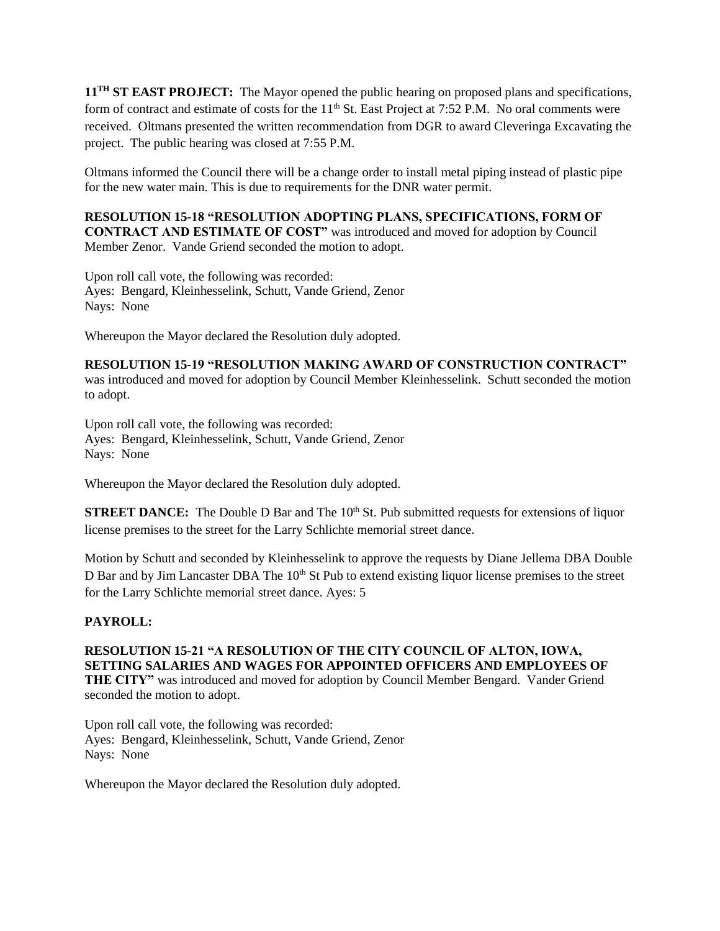**11TH ST EAST PROJECT:** The Mayor opened the public hearing on proposed plans and specifications, form of contract and estimate of costs for the 11<sup>th</sup> St. East Project at 7:52 P.M. No oral comments were received. Oltmans presented the written recommendation from DGR to award Cleveringa Excavating the project. The public hearing was closed at 7:55 P.M.

Oltmans informed the Council there will be a change order to install metal piping instead of plastic pipe for the new water main. This is due to requirements for the DNR water permit.

**RESOLUTION 15-18 "RESOLUTION ADOPTING PLANS, SPECIFICATIONS, FORM OF CONTRACT AND ESTIMATE OF COST"** was introduced and moved for adoption by Council Member Zenor. Vande Griend seconded the motion to adopt.

Upon roll call vote, the following was recorded: Ayes: Bengard, Kleinhesselink, Schutt, Vande Griend, Zenor Nays: None

Whereupon the Mayor declared the Resolution duly adopted.

**RESOLUTION 15-19 "RESOLUTION MAKING AWARD OF CONSTRUCTION CONTRACT"**  was introduced and moved for adoption by Council Member Kleinhesselink. Schutt seconded the motion to adopt.

Upon roll call vote, the following was recorded: Ayes: Bengard, Kleinhesselink, Schutt, Vande Griend, Zenor Nays: None

Whereupon the Mayor declared the Resolution duly adopted.

**STREET DANCE:** The Double D Bar and The 10<sup>th</sup> St. Pub submitted requests for extensions of liquor license premises to the street for the Larry Schlichte memorial street dance.

Motion by Schutt and seconded by Kleinhesselink to approve the requests by Diane Jellema DBA Double D Bar and by Jim Lancaster DBA The 10<sup>th</sup> St Pub to extend existing liquor license premises to the street for the Larry Schlichte memorial street dance. Ayes: 5

# **PAYROLL:**

**RESOLUTION 15-21 "A RESOLUTION OF THE CITY COUNCIL OF ALTON, IOWA, SETTING SALARIES AND WAGES FOR APPOINTED OFFICERS AND EMPLOYEES OF THE CITY"** was introduced and moved for adoption by Council Member Bengard. Vander Griend seconded the motion to adopt.

Upon roll call vote, the following was recorded: Ayes: Bengard, Kleinhesselink, Schutt, Vande Griend, Zenor Nays: None

Whereupon the Mayor declared the Resolution duly adopted.